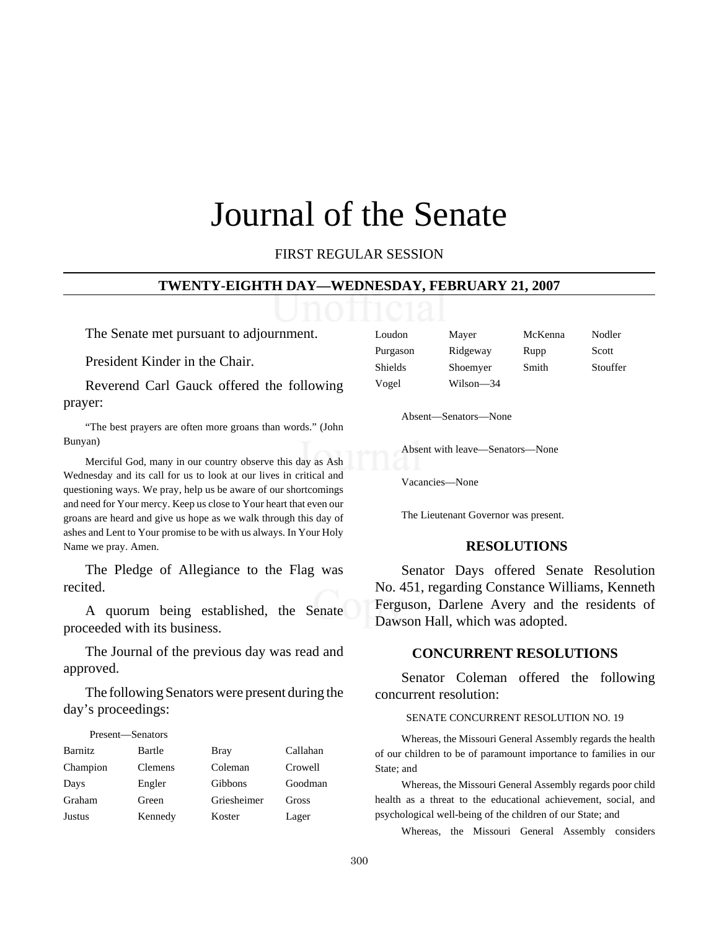# Journal of the Senate

FIRST REGULAR SESSION

#### **TWENTY-EIGHTH DAY—WEDNESDAY, FEBRUARY 21, 2007**

The Senate met pursuant to adjournment.

President Kinder in the Chair.

Reverend Carl Gauck offered the following prayer:

"The best prayers are often more groans than words." (John Bunyan)

Merciful God, many in our country observe this day as Ash Wednesday and its call for us to look at our lives in critical and questioning ways. We pray, help us be aware of our shortcomings and need for Your mercy. Keep us close to Your heart that even our groans are heard and give us hope as we walk through this day of ashes and Lent to Your promise to be with us always. In Your Holy Name we pray. Amen.

The Pledge of Allegiance to the Flag was recited.

A quorum being established, the Senate proceeded with its business.

The Journal of the previous day was read and approved.

The following Senators were present during the day's proceedings:

| Present—Senators |                |                |          |
|------------------|----------------|----------------|----------|
| <b>Barnitz</b>   | Bartle         | Bray           | Callahan |
| Champion         | <b>Clemens</b> | Coleman        | Crowell  |
| Days             | Engler         | <b>Gibbons</b> | Goodman  |
| Graham           | Green          | Griesheimer    | Gross    |
| <b>Justus</b>    | Kennedy        | Koster         | Lager    |

| Loudon   | Mayer     | McKenna | Nodler   |
|----------|-----------|---------|----------|
| Purgason | Ridgeway  | Rupp    | Scott    |
| Shields  | Shoemyer  | Smith   | Stouffer |
| Vogel    | Wilson-34 |         |          |

Absent—Senators—None

Absent with leave—Senators—None

Vacancies—None

The Lieutenant Governor was present.

### **RESOLUTIONS**

Senator Days offered Senate Resolution No. 451, regarding Constance Williams, Kenneth Ferguson, Darlene Avery and the residents of Dawson Hall, which was adopted.

### **CONCURRENT RESOLUTIONS**

Senator Coleman offered the following concurrent resolution:

#### SENATE CONCURRENT RESOLUTION NO. 19

Whereas, the Missouri General Assembly regards the health of our children to be of paramount importance to families in our State; and

Whereas, the Missouri General Assembly regards poor child health as a threat to the educational achievement, social, and psychological well-being of the children of our State; and

Whereas, the Missouri General Assembly considers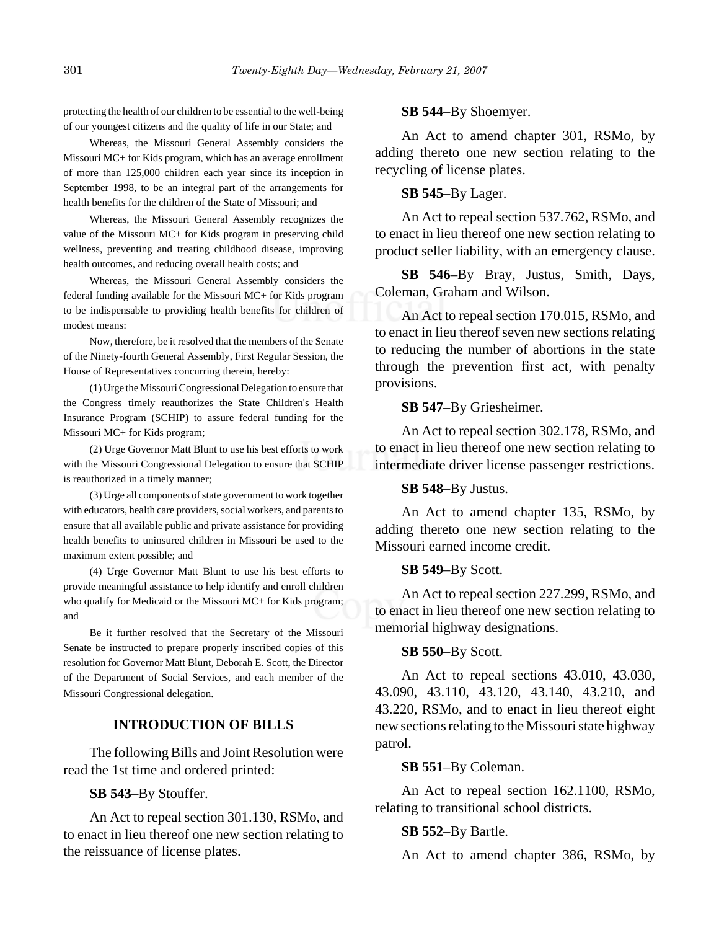protecting the health of our children to be essential to the well-being of our youngest citizens and the quality of life in our State; and

Whereas, the Missouri General Assembly considers the Missouri MC+ for Kids program, which has an average enrollment of more than 125,000 children each year since its inception in September 1998, to be an integral part of the arrangements for health benefits for the children of the State of Missouri; and

Whereas, the Missouri General Assembly recognizes the value of the Missouri MC+ for Kids program in preserving child wellness, preventing and treating childhood disease, improving health outcomes, and reducing overall health costs; and

Whereas, the Missouri General Assembly considers the federal funding available for the Missouri MC+ for Kids program to be indispensable to providing health benefits for children of modest means:

Now, therefore, be it resolved that the members of the Senate of the Ninety-fourth General Assembly, First Regular Session, the House of Representatives concurring therein, hereby:

(1) Urge the Missouri Congressional Delegation to ensure that the Congress timely reauthorizes the State Children's Health Insurance Program (SCHIP) to assure federal funding for the Missouri MC+ for Kids program;

(2) Urge Governor Matt Blunt to use his best efforts to work with the Missouri Congressional Delegation to ensure that SCHIP is reauthorized in a timely manner;

(3) Urge all components of state government to work together with educators, health care providers, social workers, and parents to ensure that all available public and private assistance for providing health benefits to uninsured children in Missouri be used to the maximum extent possible; and

(4) Urge Governor Matt Blunt to use his best efforts to provide meaningful assistance to help identify and enroll children who qualify for Medicaid or the Missouri MC+ for Kids program; and

Be it further resolved that the Secretary of the Missouri Senate be instructed to prepare properly inscribed copies of this resolution for Governor Matt Blunt, Deborah E. Scott, the Director of the Department of Social Services, and each member of the Missouri Congressional delegation.

### **INTRODUCTION OF BILLS**

The following Bills and Joint Resolution were read the 1st time and ordered printed:

# **SB 543**–By Stouffer.

An Act to repeal section 301.130, RSMo, and to enact in lieu thereof one new section relating to the reissuance of license plates.

### **SB 544**–By Shoemyer.

An Act to amend chapter 301, RSMo, by adding thereto one new section relating to the recycling of license plates.

### **SB 545**–By Lager.

An Act to repeal section 537.762, RSMo, and to enact in lieu thereof one new section relating to product seller liability, with an emergency clause.

**SB 546**–By Bray, Justus, Smith, Days, Coleman, Graham and Wilson.

An Act to repeal section 170.015, RSMo, and to enact in lieu thereof seven new sections relating to reducing the number of abortions in the state through the prevention first act, with penalty provisions.

### **SB 547**–By Griesheimer.

An Act to repeal section 302.178, RSMo, and to enact in lieu thereof one new section relating to intermediate driver license passenger restrictions.

#### **SB 548**–By Justus.

An Act to amend chapter 135, RSMo, by adding thereto one new section relating to the Missouri earned income credit.

### **SB 549**–By Scott.

An Act to repeal section 227.299, RSMo, and to enact in lieu thereof one new section relating to memorial highway designations.

### **SB 550**–By Scott.

An Act to repeal sections 43.010, 43.030, 43.090, 43.110, 43.120, 43.140, 43.210, and 43.220, RSMo, and to enact in lieu thereof eight new sections relating to the Missouri state highway patrol.

#### **SB 551**–By Coleman.

An Act to repeal section 162.1100, RSMo, relating to transitional school districts.

#### **SB 552**–By Bartle.

An Act to amend chapter 386, RSMo, by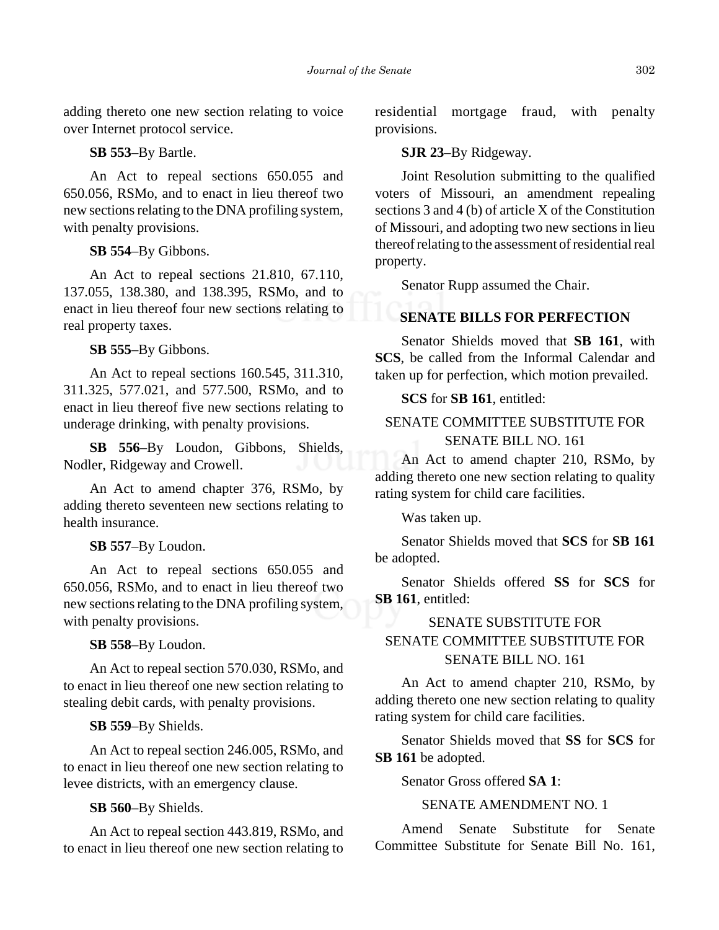adding thereto one new section relating to voice over Internet protocol service.

# **SB 553**–By Bartle.

An Act to repeal sections 650.055 and 650.056, RSMo, and to enact in lieu thereof two new sections relating to the DNA profiling system, with penalty provisions.

# **SB 554**–By Gibbons.

An Act to repeal sections 21.810, 67.110, 137.055, 138.380, and 138.395, RSMo, and to enact in lieu thereof four new sections relating to real property taxes.

## **SB 555**–By Gibbons.

An Act to repeal sections 160.545, 311.310, 311.325, 577.021, and 577.500, RSMo, and to enact in lieu thereof five new sections relating to underage drinking, with penalty provisions.

**SB 556**–By Loudon, Gibbons, Shields, Nodler, Ridgeway and Crowell.

An Act to amend chapter 376, RSMo, by adding thereto seventeen new sections relating to health insurance.

# **SB 557**–By Loudon.

An Act to repeal sections 650.055 and 650.056, RSMo, and to enact in lieu thereof two new sections relating to the DNA profiling system, with penalty provisions.

### **SB 558**–By Loudon.

An Act to repeal section 570.030, RSMo, and to enact in lieu thereof one new section relating to stealing debit cards, with penalty provisions.

**SB 559**–By Shields.

An Act to repeal section 246.005, RSMo, and to enact in lieu thereof one new section relating to levee districts, with an emergency clause.

# **SB 560**–By Shields.

An Act to repeal section 443.819, RSMo, and to enact in lieu thereof one new section relating to

residential mortgage fraud, with penalty provisions.

## **SJR 23**–By Ridgeway.

Joint Resolution submitting to the qualified voters of Missouri, an amendment repealing sections 3 and 4 (b) of article X of the Constitution of Missouri, and adopting two new sections in lieu thereof relating to the assessment of residential real property.

Senator Rupp assumed the Chair.

# **SENATE BILLS FOR PERFECTION**

Senator Shields moved that **SB 161**, with **SCS**, be called from the Informal Calendar and taken up for perfection, which motion prevailed.

# **SCS** for **SB 161**, entitled:

# SENATE COMMITTEE SUBSTITUTE FOR SENATE BILL NO. 161

An Act to amend chapter 210, RSMo, by adding thereto one new section relating to quality rating system for child care facilities.

Was taken up.

Senator Shields moved that **SCS** for **SB 161** be adopted.

Senator Shields offered **SS** for **SCS** for **SB 161**, entitled:

# SENATE SUBSTITUTE FOR SENATE COMMITTEE SUBSTITUTE FOR SENATE BILL NO. 161

An Act to amend chapter 210, RSMo, by adding thereto one new section relating to quality rating system for child care facilities.

Senator Shields moved that **SS** for **SCS** for **SB 161** be adopted.

Senator Gross offered **SA 1**:

# SENATE AMENDMENT NO. 1

Amend Senate Substitute for Senate Committee Substitute for Senate Bill No. 161,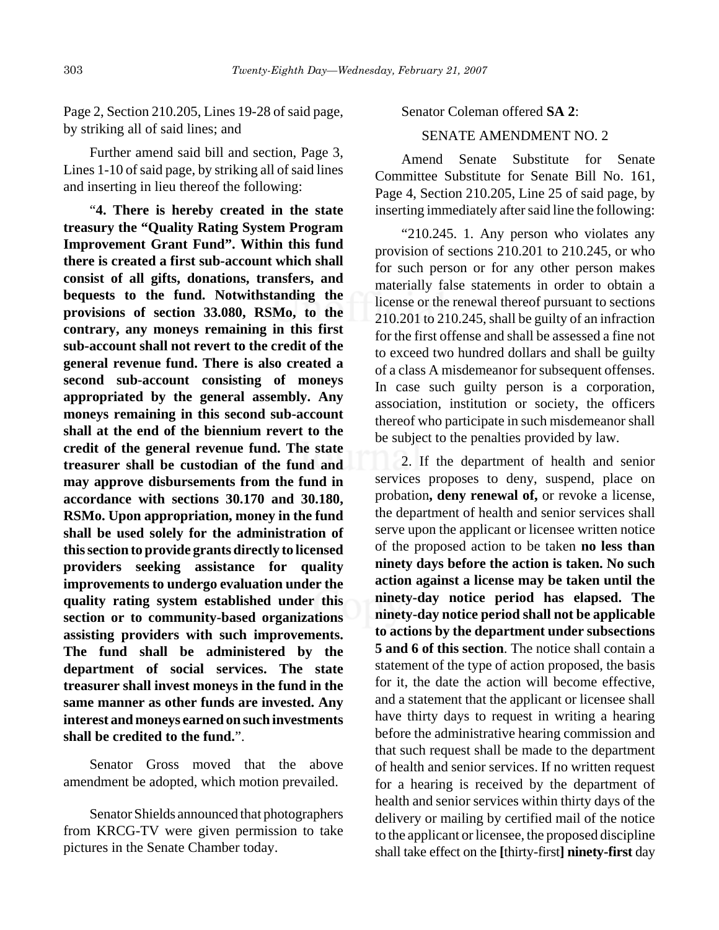Further amend said bill and section, Page 3, Lines 1-10 of said page, by striking all of said lines and inserting in lieu thereof the following:

"**4. There is hereby created in the state treasury the "Quality Rating System Program Improvement Grant Fund". Within this fund there is created a first sub-account which shall consist of all gifts, donations, transfers, and bequests to the fund. Notwithstanding the provisions of section 33.080, RSMo, to the contrary, any moneys remaining in this first sub-account shall not revert to the credit of the general revenue fund. There is also created a second sub-account consisting of moneys appropriated by the general assembly. Any moneys remaining in this second sub-account shall at the end of the biennium revert to the credit of the general revenue fund. The state treasurer shall be custodian of the fund and may approve disbursements from the fund in accordance with sections 30.170 and 30.180, RSMo. Upon appropriation, money in the fund shall be used solely for the administration of this section to provide grants directly to licensed providers seeking assistance for quality improvements to undergo evaluation under the quality rating system established under this section or to community-based organizations assisting providers with such improvements. The fund shall be administered by the department of social services. The state treasurer shall invest moneys in the fund in the same manner as other funds are invested. Any interest and moneys earned on such investments shall be credited to the fund.**".

Senator Gross moved that the above amendment be adopted, which motion prevailed.

Senator Shields announced that photographers from KRCG-TV were given permission to take pictures in the Senate Chamber today.

Senator Coleman offered **SA 2**:

# SENATE AMENDMENT NO. 2

Amend Senate Substitute for Senate Committee Substitute for Senate Bill No. 161, Page 4, Section 210.205, Line 25 of said page, by inserting immediately after said line the following:

"210.245. 1. Any person who violates any provision of sections 210.201 to 210.245, or who for such person or for any other person makes materially false statements in order to obtain a license or the renewal thereof pursuant to sections 210.201 to 210.245, shall be guilty of an infraction for the first offense and shall be assessed a fine not to exceed two hundred dollars and shall be guilty of a class A misdemeanor for subsequent offenses. In case such guilty person is a corporation, association, institution or society, the officers thereof who participate in such misdemeanor shall be subject to the penalties provided by law.

2. If the department of health and senior services proposes to deny, suspend, place on probation**, deny renewal of,** or revoke a license, the department of health and senior services shall serve upon the applicant or licensee written notice of the proposed action to be taken **no less than ninety days before the action is taken. No such action against a license may be taken until the ninety-day notice period has elapsed. The ninety-day notice period shall not be applicable to actions by the department under subsections 5 and 6 of this section**. The notice shall contain a statement of the type of action proposed, the basis for it, the date the action will become effective, and a statement that the applicant or licensee shall have thirty days to request in writing a hearing before the administrative hearing commission and that such request shall be made to the department of health and senior services. If no written request for a hearing is received by the department of health and senior services within thirty days of the delivery or mailing by certified mail of the notice to the applicant or licensee, the proposed discipline shall take effect on the **[**thirty-first**] ninety-first** day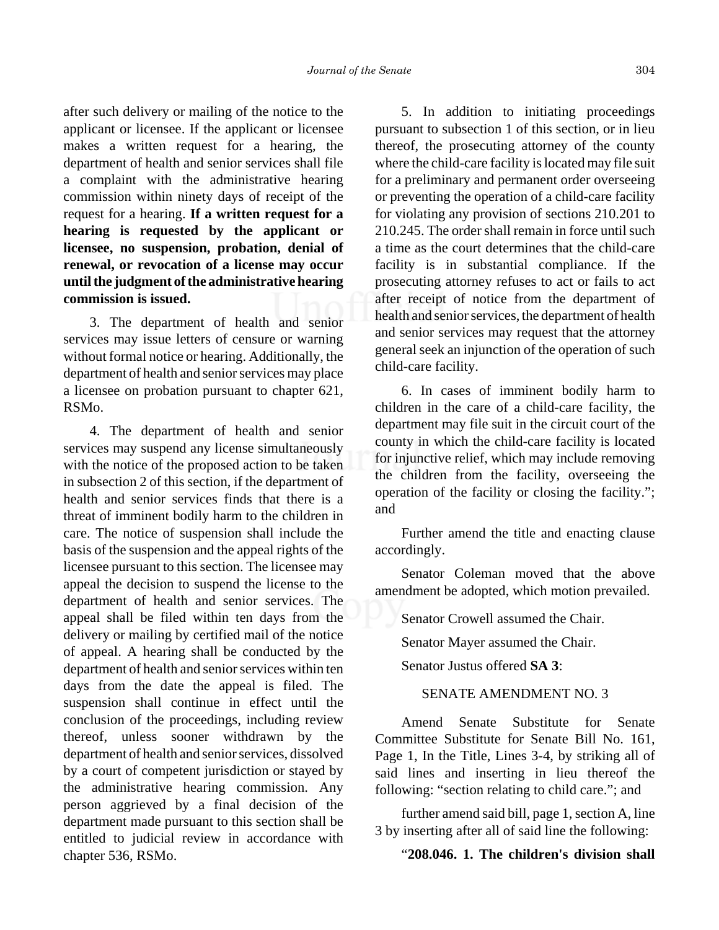after such delivery or mailing of the notice to the applicant or licensee. If the applicant or licensee makes a written request for a hearing, the department of health and senior services shall file a complaint with the administrative hearing commission within ninety days of receipt of the request for a hearing. **If a written request for a hearing is requested by the applicant or licensee, no suspension, probation, denial of renewal, or revocation of a license may occur until the judgment of the administrative hearing commission is issued.**

3. The department of health and senior services may issue letters of censure or warning without formal notice or hearing. Additionally, the department of health and senior services may place a licensee on probation pursuant to chapter 621, RSMo.

4. The department of health and senior services may suspend any license simultaneously with the notice of the proposed action to be taken in subsection 2 of this section, if the department of health and senior services finds that there is a threat of imminent bodily harm to the children in care. The notice of suspension shall include the basis of the suspension and the appeal rights of the licensee pursuant to this section. The licensee may appeal the decision to suspend the license to the department of health and senior services. The appeal shall be filed within ten days from the delivery or mailing by certified mail of the notice of appeal. A hearing shall be conducted by the department of health and senior services within ten days from the date the appeal is filed. The suspension shall continue in effect until the conclusion of the proceedings, including review thereof, unless sooner withdrawn by the department of health and senior services, dissolved by a court of competent jurisdiction or stayed by the administrative hearing commission. Any person aggrieved by a final decision of the department made pursuant to this section shall be entitled to judicial review in accordance with chapter 536, RSMo.

5. In addition to initiating proceedings pursuant to subsection 1 of this section, or in lieu thereof, the prosecuting attorney of the county where the child-care facility is located may file suit for a preliminary and permanent order overseeing or preventing the operation of a child-care facility for violating any provision of sections 210.201 to 210.245. The order shall remain in force until such a time as the court determines that the child-care facility is in substantial compliance. If the prosecuting attorney refuses to act or fails to act after receipt of notice from the department of health and senior services, the department of health and senior services may request that the attorney general seek an injunction of the operation of such child-care facility.

6. In cases of imminent bodily harm to children in the care of a child-care facility, the department may file suit in the circuit court of the county in which the child-care facility is located for injunctive relief, which may include removing the children from the facility, overseeing the operation of the facility or closing the facility."; and

Further amend the title and enacting clause accordingly.

Senator Coleman moved that the above amendment be adopted, which motion prevailed.

Senator Crowell assumed the Chair.

Senator Mayer assumed the Chair.

Senator Justus offered **SA 3**:

# SENATE AMENDMENT NO. 3

Amend Senate Substitute for Senate Committee Substitute for Senate Bill No. 161, Page 1, In the Title, Lines 3-4, by striking all of said lines and inserting in lieu thereof the following: "section relating to child care."; and

further amend said bill, page 1, section A, line 3 by inserting after all of said line the following:

# "**208.046. 1. The children's division shall**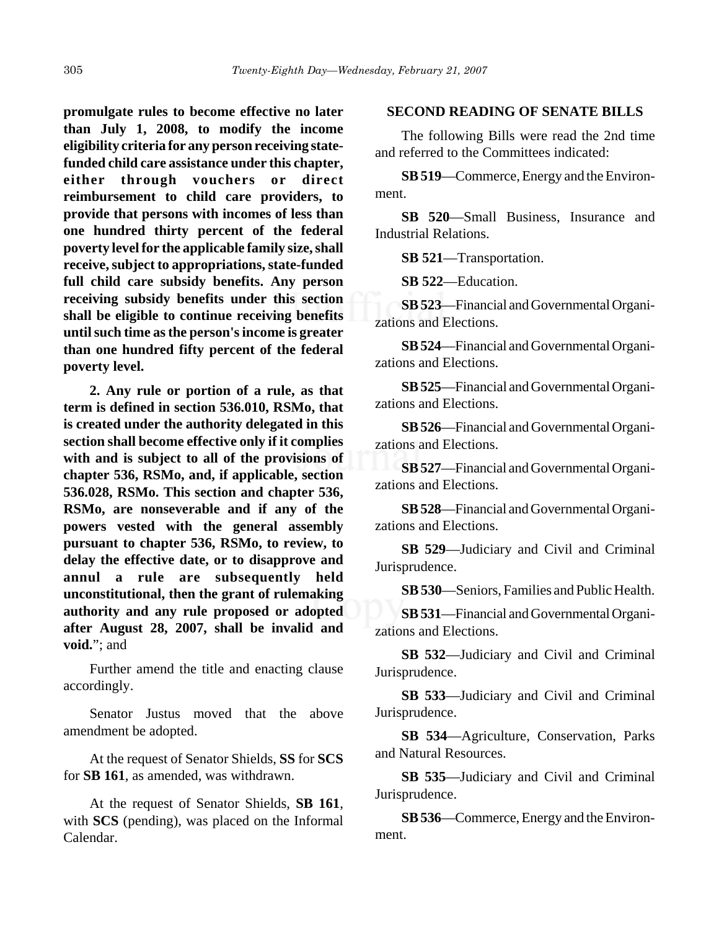**promulgate rules to become effective no later than July 1, 2008, to modify the income eligibility criteria for any person receiving statefunded child care assistance under this chapter, either through vouchers or direct reimbursement to child care providers, to provide that persons with incomes of less than one hundred thirty percent of the federal poverty level for the applicable family size, shall receive, subject to appropriations, state-funded full child care subsidy benefits. Any person receiving subsidy benefits under this section shall be eligible to continue receiving benefits until such time as the person's income is greater than one hundred fifty percent of the federal poverty level.**

**2. Any rule or portion of a rule, as that term is defined in section 536.010, RSMo, that is created under the authority delegated in this section shall become effective only if it complies with and is subject to all of the provisions of chapter 536, RSMo, and, if applicable, section 536.028, RSMo. This section and chapter 536, RSMo, are nonseverable and if any of the powers vested with the general assembly pursuant to chapter 536, RSMo, to review, to delay the effective date, or to disapprove and annul a rule are subsequently held unconstitutional, then the grant of rulemaking authority and any rule proposed or adopted after August 28, 2007, shall be invalid and void.**"; and

Further amend the title and enacting clause accordingly.

Senator Justus moved that the above amendment be adopted.

At the request of Senator Shields, **SS** for **SCS** for **SB 161**, as amended, was withdrawn.

At the request of Senator Shields, **SB 161**, with **SCS** (pending), was placed on the Informal Calendar.

### **SECOND READING OF SENATE BILLS**

The following Bills were read the 2nd time and referred to the Committees indicated:

**SB 519**—Commerce, Energy and the Environment.

**SB 520**—Small Business, Insurance and Industrial Relations.

**SB 521**—Transportation.

**SB 522**—Education.

**SB 523**—Financial and Governmental Organizations and Elections.

**SB 524**—Financial and Governmental Organizations and Elections.

**SB 525**—Financial and Governmental Organizations and Elections.

**SB 526**—Financial and Governmental Organizations and Elections.

**SB 527**—Financial and Governmental Organizations and Elections.

**SB 528**—Financial and Governmental Organizations and Elections.

**SB 529**—Judiciary and Civil and Criminal Jurisprudence.

**SB 530**—Seniors, Families and Public Health.

**SB 531**—Financial and Governmental Organizations and Elections.

**SB 532**—Judiciary and Civil and Criminal Jurisprudence.

**SB 533**—Judiciary and Civil and Criminal Jurisprudence.

**SB 534**—Agriculture, Conservation, Parks and Natural Resources.

**SB 535**—Judiciary and Civil and Criminal Jurisprudence.

**SB 536**—Commerce, Energy and the Environment.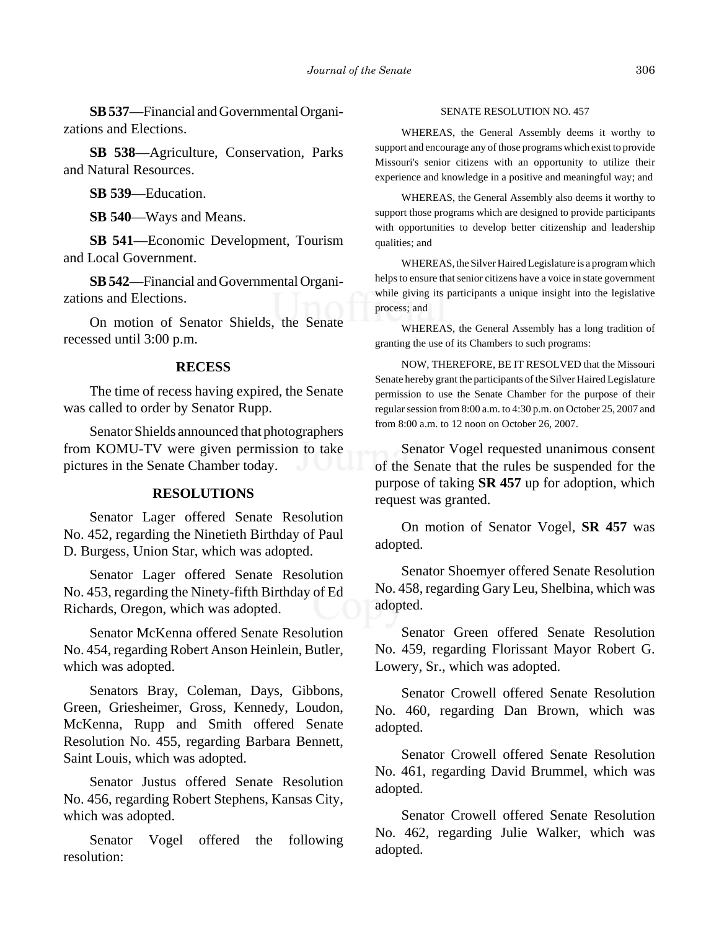**SB 537**—Financial and Governmental Organizations and Elections.

**SB 538**—Agriculture, Conservation, Parks and Natural Resources.

**SB 539**—Education.

**SB 540**—Ways and Means.

**SB 541**—Economic Development, Tourism and Local Government.

**SB 542**—Financial and Governmental Organizations and Elections.

On motion of Senator Shields, the Senate recessed until 3:00 p.m.

### **RECESS**

The time of recess having expired, the Senate was called to order by Senator Rupp.

Senator Shields announced that photographers from KOMU-TV were given permission to take pictures in the Senate Chamber today.

### **RESOLUTIONS**

Senator Lager offered Senate Resolution No. 452, regarding the Ninetieth Birthday of Paul D. Burgess, Union Star, which was adopted.

Senator Lager offered Senate Resolution No. 453, regarding the Ninety-fifth Birthday of Ed Richards, Oregon, which was adopted.

Senator McKenna offered Senate Resolution No. 454, regarding Robert Anson Heinlein, Butler, which was adopted.

Senators Bray, Coleman, Days, Gibbons, Green, Griesheimer, Gross, Kennedy, Loudon, McKenna, Rupp and Smith offered Senate Resolution No. 455, regarding Barbara Bennett, Saint Louis, which was adopted.

Senator Justus offered Senate Resolution No. 456, regarding Robert Stephens, Kansas City, which was adopted.

Senator Vogel offered the following resolution:

#### SENATE RESOLUTION NO. 457

WHEREAS, the General Assembly deems it worthy to support and encourage any of those programs which exist to provide Missouri's senior citizens with an opportunity to utilize their experience and knowledge in a positive and meaningful way; and

WHEREAS, the General Assembly also deems it worthy to support those programs which are designed to provide participants with opportunities to develop better citizenship and leadership qualities; and

WHEREAS, the Silver Haired Legislature is a program which helps to ensure that senior citizens have a voice in state government while giving its participants a unique insight into the legislative process; and

WHEREAS, the General Assembly has a long tradition of granting the use of its Chambers to such programs:

NOW, THEREFORE, BE IT RESOLVED that the Missouri Senate hereby grant the participants of the Silver Haired Legislature permission to use the Senate Chamber for the purpose of their regular session from 8:00 a.m. to 4:30 p.m. on October 25, 2007 and from 8:00 a.m. to 12 noon on October 26, 2007.

Senator Vogel requested unanimous consent of the Senate that the rules be suspended for the purpose of taking **SR 457** up for adoption, which request was granted.

On motion of Senator Vogel, **SR 457** was adopted.

Senator Shoemyer offered Senate Resolution No. 458, regarding Gary Leu, Shelbina, which was adopted.

Senator Green offered Senate Resolution No. 459, regarding Florissant Mayor Robert G. Lowery, Sr., which was adopted.

Senator Crowell offered Senate Resolution No. 460, regarding Dan Brown, which was adopted.

Senator Crowell offered Senate Resolution No. 461, regarding David Brummel, which was adopted.

Senator Crowell offered Senate Resolution No. 462, regarding Julie Walker, which was adopted.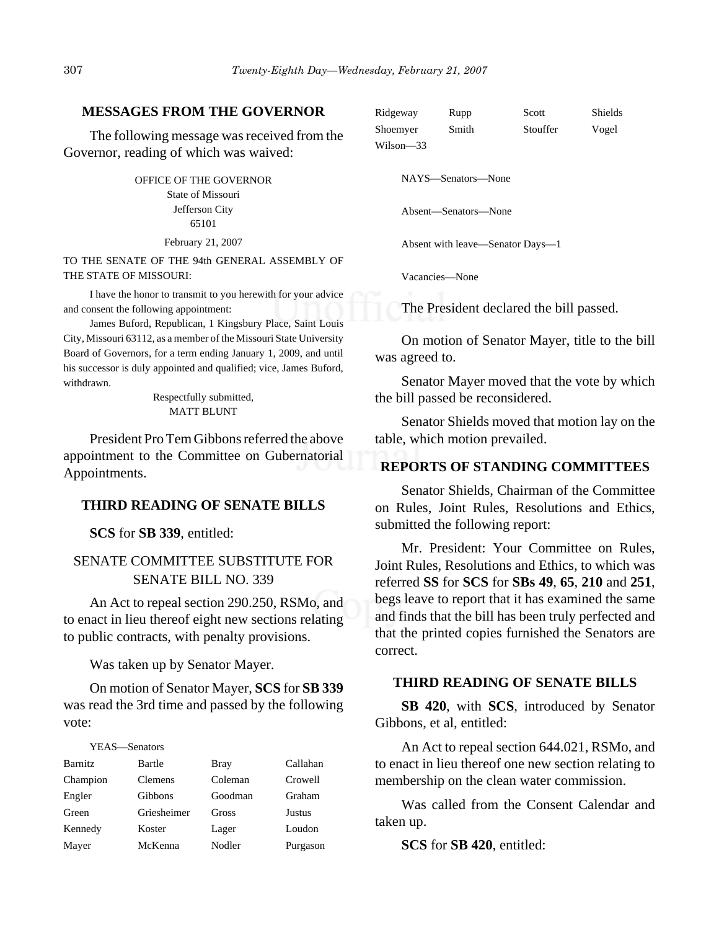### **MESSAGES FROM THE GOVERNOR**

The following message was received from the Governor, reading of which was waived:

> OFFICE OF THE GOVERNOR State of Missouri Jefferson City 65101

> > February 21, 2007

TO THE SENATE OF THE 94th GENERAL ASSEMBLY OF THE STATE OF MISSOURI:

I have the honor to transmit to you herewith for your advice and consent the following appointment:

James Buford, Republican, 1 Kingsbury Place, Saint Louis City, Missouri 63112, as a member of the Missouri State University Board of Governors, for a term ending January 1, 2009, and until his successor is duly appointed and qualified; vice, James Buford, withdrawn.

> Respectfully submitted, MATT BLUNT

President Pro Tem Gibbons referred the above appointment to the Committee on Gubernatorial Appointments.

### **THIRD READING OF SENATE BILLS**

**SCS** for **SB 339**, entitled:

# SENATE COMMITTEE SUBSTITUTE FOR SENATE BILL NO. 339

An Act to repeal section 290.250, RSMo, and to enact in lieu thereof eight new sections relating to public contracts, with penalty provisions.

Was taken up by Senator Mayer.

On motion of Senator Mayer, **SCS** for **SB 339** was read the 3rd time and passed by the following vote:

#### YEAS—Senators

| <b>Barnitz</b> | Bartle         | <b>Bray</b> | Callahan      |
|----------------|----------------|-------------|---------------|
| Champion       | <b>Clemens</b> | Coleman     | Crowell       |
| Engler         | Gibbons        | Goodman     | Graham        |
| Green          | Griesheimer    | Gross       | <b>Justus</b> |
| Kennedy        | Koster         | Lager       | Loudon        |
| Mayer          | McKenna        | Nodler      | Purgason      |

| Ridgeway  | Rupp  | Scott    | Shields |
|-----------|-------|----------|---------|
| Shoemyer  | Smith | Stouffer | Vogel   |
| Wilson—33 |       |          |         |

NAYS—Senators—None

Absent—Senators—None

Absent with leave—Senator Days—1

Vacancies—None

The President declared the bill passed.

On motion of Senator Mayer, title to the bill was agreed to.

Senator Mayer moved that the vote by which the bill passed be reconsidered.

Senator Shields moved that motion lay on the table, which motion prevailed.

### **REPORTS OF STANDING COMMITTEES**

Senator Shields, Chairman of the Committee on Rules, Joint Rules, Resolutions and Ethics, submitted the following report:

Mr. President: Your Committee on Rules, Joint Rules, Resolutions and Ethics, to which was referred **SS** for **SCS** for **SBs 49**, **65**, **210** and **251**, begs leave to report that it has examined the same and finds that the bill has been truly perfected and that the printed copies furnished the Senators are correct.

### **THIRD READING OF SENATE BILLS**

**SB 420**, with **SCS**, introduced by Senator Gibbons, et al, entitled:

An Act to repeal section 644.021, RSMo, and to enact in lieu thereof one new section relating to membership on the clean water commission.

Was called from the Consent Calendar and taken up.

**SCS** for **SB 420**, entitled: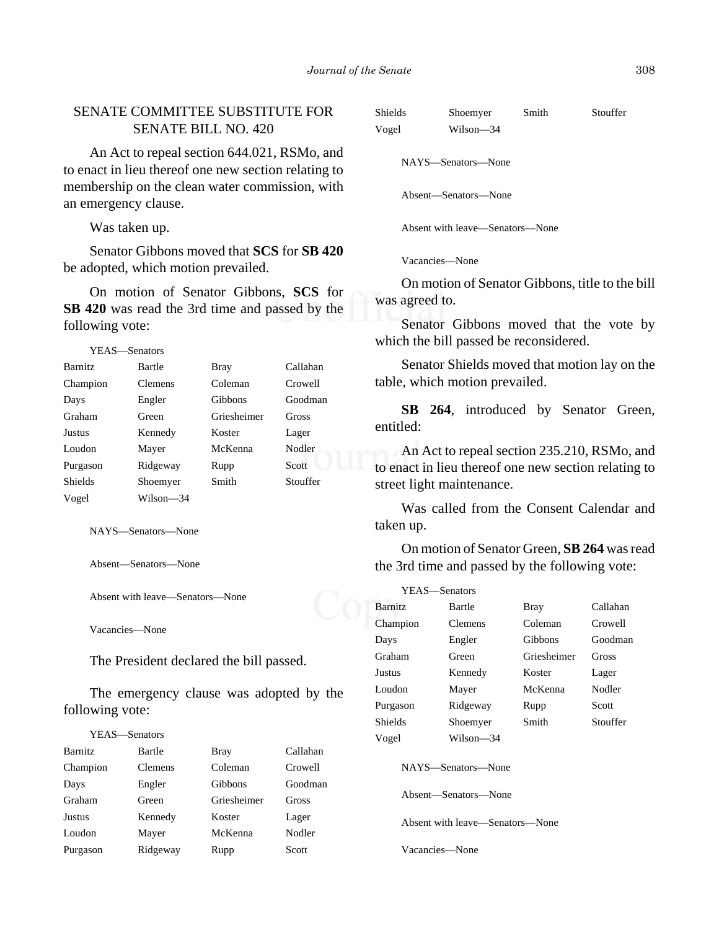# SENATE COMMITTEE SUBSTITUTE FOR SENATE BILL NO. 420

An Act to repeal section 644.021, RSMo, and to enact in lieu thereof one new section relating to membership on the clean water commission, with an emergency clause.

Was taken up.

Senator Gibbons moved that **SCS** for **SB 420** be adopted, which motion prevailed.

On motion of Senator Gibbons, **SCS** for **SB 420** was read the 3rd time and passed by the following vote:

| <b>Barnitz</b> | Bartle         | <b>Bray</b> | Callahan |
|----------------|----------------|-------------|----------|
| Champion       | <b>Clemens</b> | Coleman     | Crowell  |
| Days           | Engler         | Gibbons     | Goodman  |
| Graham         | Green          | Griesheimer | Gross    |
| <b>Justus</b>  | Kennedy        | Koster      | Lager    |
| Loudon         | Mayer          | McKenna     | Nodler   |
| Purgason       | Ridgeway       | Rupp        | Scott    |
| <b>Shields</b> | Shoemyer       | Smith       | Stouffer |
| Vogel          | Wilson-34      |             |          |

NAYS—Senators—None

Absent—Senators—None

Absent with leave—Senators—None

Vacancies—None

The President declared the bill passed.

The emergency clause was adopted by the following vote:

| YEAS—Senators  |                |                |          |
|----------------|----------------|----------------|----------|
| <b>Barnitz</b> | Bartle         | Bray           | Callahan |
| Champion       | <b>Clemens</b> | Coleman        | Crowell  |
| Days           | Engler         | <b>Gibbons</b> | Goodman  |
| Graham         | Green          | Griesheimer    | Gross    |
| Justus         | Kennedy        | Koster         | Lager    |
| Loudon         | Mayer          | McKenna        | Nodler   |
| Purgason       | Ridgeway       | Rupp           | Scott    |

| <b>Shields</b><br>Smith<br>Shoemyer |  | Stouffer |
|-------------------------------------|--|----------|
|-------------------------------------|--|----------|

Vogel Wilson—34

NAYS—Senators—None

Absent—Senators—None

Absent with leave—Senators—None

Vacancies—None

On motion of Senator Gibbons, title to the bill was agreed to.

Senator Gibbons moved that the vote by which the bill passed be reconsidered.

Senator Shields moved that motion lay on the table, which motion prevailed.

**SB 264**, introduced by Senator Green, entitled:

An Act to repeal section 235.210, RSMo, and to enact in lieu thereof one new section relating to street light maintenance.

Was called from the Consent Calendar and taken up.

On motion of Senator Green, **SB 264** was read the 3rd time and passed by the following vote:

| YEAS—Senators                              |                |                |          |
|--------------------------------------------|----------------|----------------|----------|
| <b>Barnitz</b>                             | Bartle         | Bray           | Callahan |
| Champion                                   | <b>Clemens</b> | Coleman        | Crowell  |
| Days                                       | Engler         | <b>Gibbons</b> | Goodman  |
| Graham                                     | Green          | Griesheimer    | Gross    |
| Justus                                     | Kennedy        | Koster         | Lager    |
| Loudon                                     | Mayer          | McKenna        | Nodler   |
| Purgason                                   | Ridgeway       | Rupp           | Scott    |
| <b>Shields</b>                             | Shoemyer       | Smith          | Stouffer |
| Vogel                                      | Wilson—34      |                |          |
| NAYS—Senators—None<br>Absent—Senators—None |                |                |          |

Absent with leave—Senators—None

Vacancies—None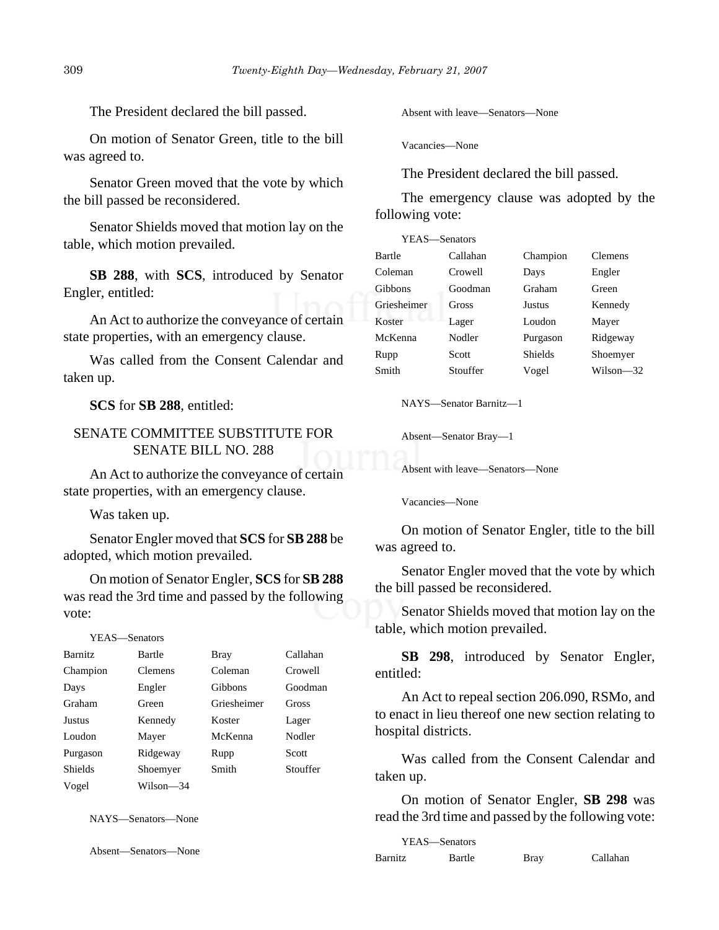The President declared the bill passed.

On motion of Senator Green, title to the bill was agreed to.

Senator Green moved that the vote by which the bill passed be reconsidered.

Senator Shields moved that motion lay on the table, which motion prevailed.

**SB 288**, with **SCS**, introduced by Senator Engler, entitled:

An Act to authorize the conveyance of certain state properties, with an emergency clause.

Was called from the Consent Calendar and taken up.

**SCS** for **SB 288**, entitled:

# SENATE COMMITTEE SUBSTITUTE FOR SENATE BILL NO. 288

An Act to authorize the conveyance of certain state properties, with an emergency clause.

Was taken up.

Senator Engler moved that **SCS** for **SB 288** be adopted, which motion prevailed.

On motion of Senator Engler, **SCS** for **SB 288** was read the 3rd time and passed by the following vote:

YEAS—Senators

| <b>Barnitz</b> | Bartle         | Bray           | Callahan |
|----------------|----------------|----------------|----------|
| Champion       | <b>Clemens</b> | Coleman        | Crowell  |
| Days           | Engler         | <b>Gibbons</b> | Goodman  |
| Graham         | Green          | Griesheimer    | Gross    |
| Justus         | Kennedy        | Koster         | Lager    |
| Loudon         | Mayer          | McKenna        | Nodler   |
| Purgason       | Ridgeway       | Rupp           | Scott    |
| <b>Shields</b> | Shoemyer       | Smith          | Stouffer |
| Vogel          | Wilson—34      |                |          |

NAYS—Senators—None

Absent—Senators—None

Absent with leave—Senators—None

Vacancies—None

The President declared the bill passed.

The emergency clause was adopted by the following vote:

| YEAS—Senators  |          |          |           |
|----------------|----------|----------|-----------|
| Bartle         | Callahan | Champion | Clemens   |
| Coleman        | Crowell  | Days     | Engler    |
| <b>Gibbons</b> | Goodman  | Graham   | Green     |
| Griesheimer    | Gross    | Justus   | Kennedy   |
| Koster         | Lager    | Loudon   | Mayer     |
| McKenna        | Nodler   | Purgason | Ridgeway  |
| Rupp           | Scott    | Shields  | Shoemyer  |
| Smith          | Stouffer | Vogel    | Wilson—32 |

NAYS—Senator Barnitz—1

Absent—Senator Bray—1

Absent with leave—Senators—None

Vacancies—None

On motion of Senator Engler, title to the bill was agreed to.

Senator Engler moved that the vote by which the bill passed be reconsidered.

Senator Shields moved that motion lay on the table, which motion prevailed.

**SB 298**, introduced by Senator Engler, entitled:

An Act to repeal section 206.090, RSMo, and to enact in lieu thereof one new section relating to hospital districts.

Was called from the Consent Calendar and taken up.

On motion of Senator Engler, **SB 298** was read the 3rd time and passed by the following vote:

| YEAS—Senators |        |      |          |
|---------------|--------|------|----------|
| Barnitz       | Bartle | Bray | Callahan |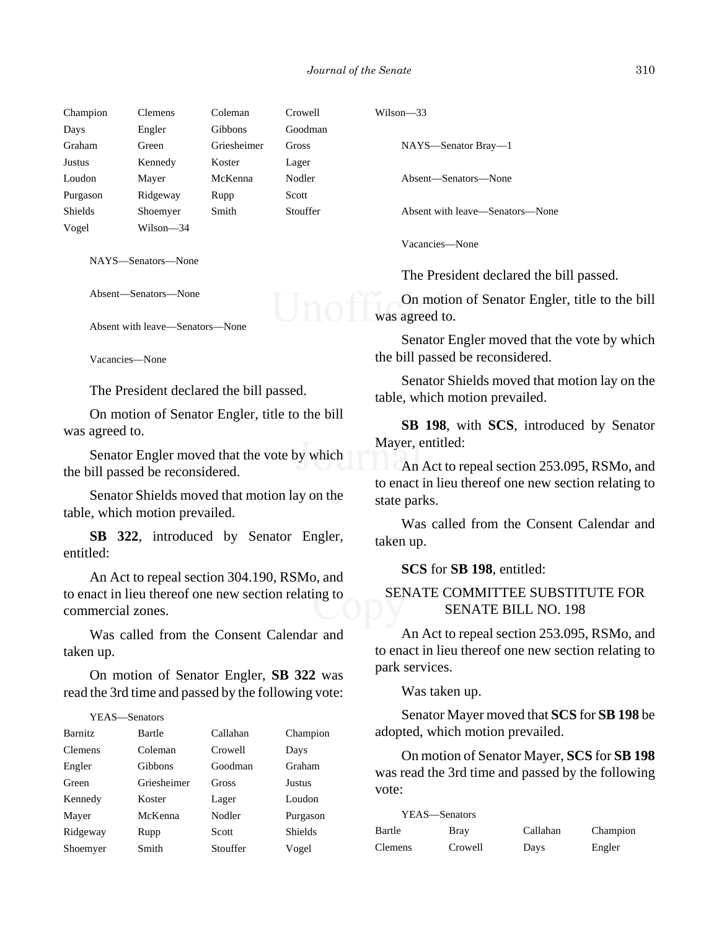| Champion       | <b>Clemens</b> | Coleman     | Crowell  | W |
|----------------|----------------|-------------|----------|---|
| Days           | Engler         | Gibbons     | Goodman  |   |
| Graham         | Green          | Griesheimer | Gross    |   |
| Justus         | Kennedy        | Koster      | Lager    |   |
| Loudon         | Mayer          | McKenna     | Nodler   |   |
| Purgason       | Ridgeway       | Rupp        | Scott    |   |
| <b>Shields</b> | Shoemyer       | Smith       | Stouffer |   |
| Vogel          | Wilson—34      |             |          |   |

NAYS—Senators—None

Absent—Senators—None

Absent with leave—Senators—None

Vacancies—None

The President declared the bill passed.

On motion of Senator Engler, title to the bill was agreed to.

Senator Engler moved that the vote by which the bill passed be reconsidered.

Senator Shields moved that motion lay on the table, which motion prevailed.

**SB 322**, introduced by Senator Engler, entitled:

An Act to repeal section 304.190, RSMo, and to enact in lieu thereof one new section relating to commercial zones.

Was called from the Consent Calendar and taken up.

On motion of Senator Engler, **SB 322** was read the 3rd time and passed by the following vote:

### YEAS—Senators

| <b>Barnitz</b> | Bartle         | Callahan | Champion |
|----------------|----------------|----------|----------|
| <b>Clemens</b> | Coleman        | Crowell  | Days     |
| Engler         | <b>Gibbons</b> | Goodman  | Graham   |
| Green          | Griesheimer    | Gross    | Justus   |
| Kennedy        | Koster         | Lager    | Loudon   |
| Mayer          | McKenna        | Nodler   | Purgason |
| Ridgeway       | Rupp           | Scott    | Shields  |
| Shoemyer       | Smith          | Stouffer | Vogel    |

 $Vilson$ —33

NAYS—Senator Bray—1

Absent—Senators—None

Absent with leave—Senators—None

Vacancies—None

The President declared the bill passed.

On motion of Senator Engler, title to the bill was agreed to.

Senator Engler moved that the vote by which the bill passed be reconsidered.

Senator Shields moved that motion lay on the table, which motion prevailed.

**SB 198**, with **SCS**, introduced by Senator Mayer, entitled:

An Act to repeal section 253.095, RSMo, and to enact in lieu thereof one new section relating to state parks.

Was called from the Consent Calendar and taken up.

**SCS** for **SB 198**, entitled:

# SENATE COMMITTEE SUBSTITUTE FOR SENATE BILL NO. 198

An Act to repeal section 253.095, RSMo, and to enact in lieu thereof one new section relating to park services.

Was taken up.

Senator Mayer moved that **SCS** for **SB 198** be adopted, which motion prevailed.

On motion of Senator Mayer, **SCS** for **SB 198** was read the 3rd time and passed by the following vote:

| YEAS—Senators  |         |          |          |
|----------------|---------|----------|----------|
| Bartle         | Bray    | Callahan | Champion |
| <b>Clemens</b> | Crowell | Days     | Engler   |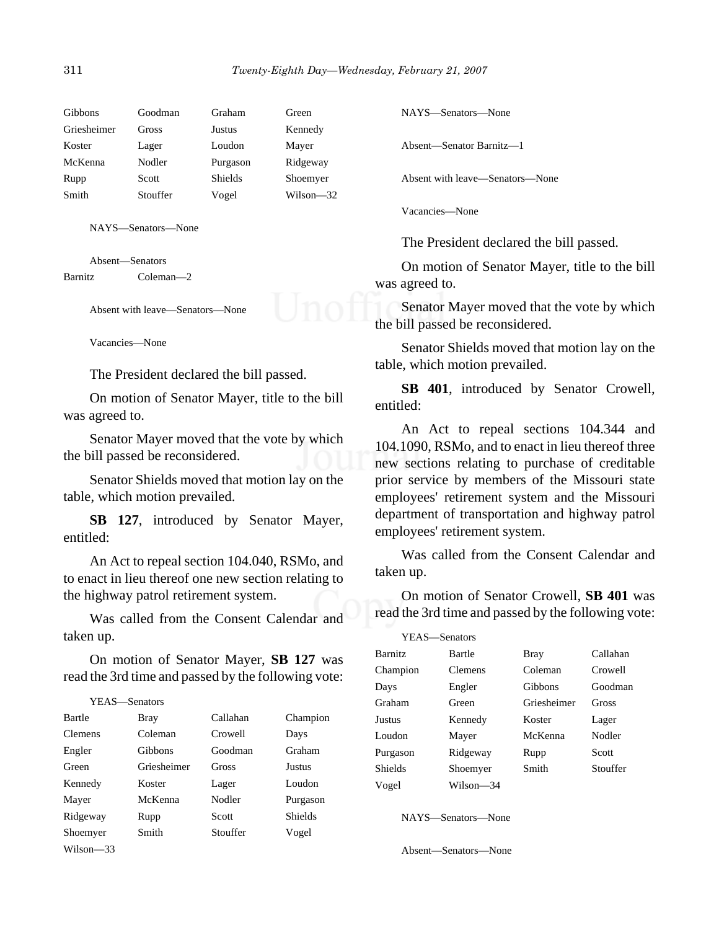| Gibbons     | Goodman  | Graham         | Green     |
|-------------|----------|----------------|-----------|
| Griesheimer | Gross    | Justus         | Kennedy   |
| Koster      | Lager    | Loudon         | Mayer     |
| McKenna     | Nodler   | Purgason       | Ridgeway  |
| Rupp        | Scott    | <b>Shields</b> | Shoemyer  |
| Smith       | Stouffer | Vogel          | Wilson—32 |
|             |          |                |           |

NAYS—Senators—None

Absent—Senators Barnitz Coleman—2

Absent with leave—Senators—None

Vacancies—None

The President declared the bill passed.

On motion of Senator Mayer, title to the bill was agreed to.

Senator Mayer moved that the vote by which the bill passed be reconsidered.

Senator Shields moved that motion lay on the table, which motion prevailed.

**SB 127**, introduced by Senator Mayer, entitled:

An Act to repeal section 104.040, RSMo, and to enact in lieu thereof one new section relating to the highway patrol retirement system.

Was called from the Consent Calendar and taken up.

On motion of Senator Mayer, **SB 127** was read the 3rd time and passed by the following vote:

```
YEAS—Senators
Bartle Bray Callahan Champion
Clemens Coleman Crowell Days
Engler Gibbons Goodman Graham
Green Griesheimer Gross Justus
Kennedy Koster Lager Loudon
Mayer McKenna Nodler Purgason
Ridgeway Rupp Scott Shields
Shoemyer Smith Stouffer Vogel
Wilson—33
```
NAYS—Senators—None

Absent—Senator Barnitz—1

Absent with leave—Senators—None

Vacancies—None

The President declared the bill passed.

On motion of Senator Mayer, title to the bill was agreed to.

Senator Mayer moved that the vote by which the bill passed be reconsidered.

Senator Shields moved that motion lay on the table, which motion prevailed.

**SB 401**, introduced by Senator Crowell, entitled:

An Act to repeal sections 104.344 and 104.1090, RSMo, and to enact in lieu thereof three new sections relating to purchase of creditable prior service by members of the Missouri state employees' retirement system and the Missouri department of transportation and highway patrol employees' retirement system.

Was called from the Consent Calendar and taken up.

On motion of Senator Crowell, **SB 401** was read the 3rd time and passed by the following vote:

| YEAS—Senators  |           |             |          |
|----------------|-----------|-------------|----------|
| <b>Barnitz</b> | Bartle    | <b>Bray</b> | Callahan |
| Champion       | Clemens   | Coleman     | Crowell  |
| Days           | Engler    | Gibbons     | Goodman  |
| Graham         | Green     | Griesheimer | Gross    |
| Justus         | Kennedy   | Koster      | Lager    |
| Loudon         | Mayer     | McKenna     | Nodler   |
| Purgason       | Ridgeway  | Rupp        | Scott    |
| Shields        | Shoemyer  | Smith       | Stouffer |
| Vogel          | Wilson—34 |             |          |

NAYS—Senators—None

Absent—Senators—None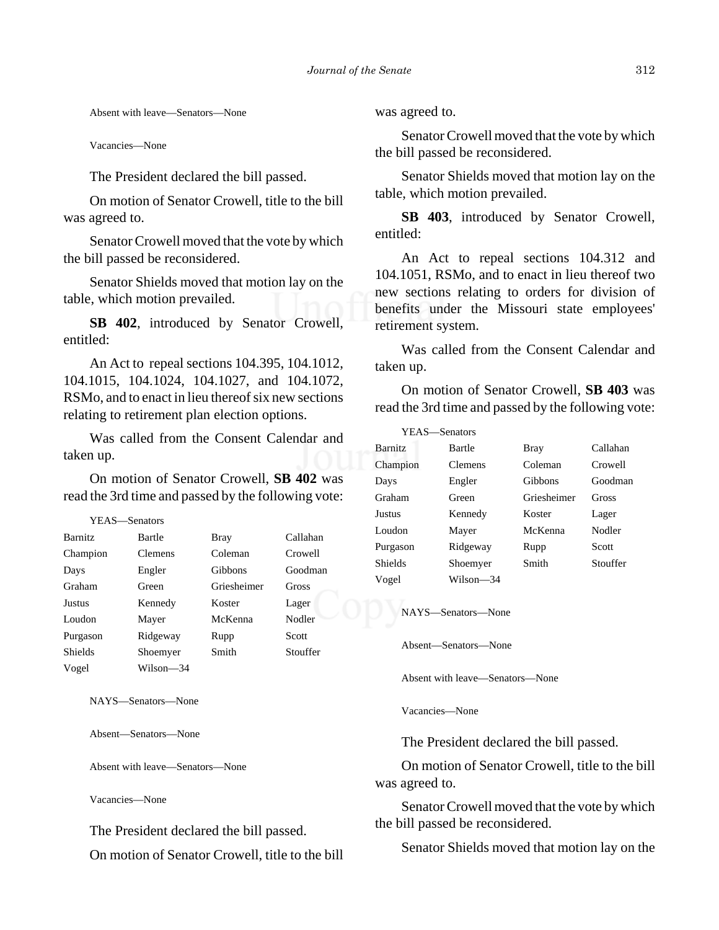Absent with leave—Senators—None

Vacancies—None

The President declared the bill passed.

On motion of Senator Crowell, title to the bill was agreed to.

Senator Crowell moved that the vote by which the bill passed be reconsidered.

Senator Shields moved that motion lay on the table, which motion prevailed.

**SB 402**, introduced by Senator Crowell, entitled:

An Act to repeal sections 104.395, 104.1012, 104.1015, 104.1024, 104.1027, and 104.1072, RSMo, and to enact in lieu thereof six new sections relating to retirement plan election options.

Was called from the Consent Calendar and taken up.

On motion of Senator Crowell, **SB 402** was read the 3rd time and passed by the following vote:

YEAS—Senators

| <b>Barnitz</b> | Bartle    | <b>Bray</b>    | Callahan     |
|----------------|-----------|----------------|--------------|
| Champion       | Clemens   | Coleman        | Crowell      |
| Days           | Engler    | <b>Gibbons</b> | Goodman      |
| Graham         | Green     | Griesheimer    | <b>Gross</b> |
| Justus         | Kennedy   | Koster         | Lager        |
| Loudon         | Mayer     | McKenna        | Nodler       |
| Purgason       | Ridgeway  | Rupp           | Scott        |
| <b>Shields</b> | Shoemyer  | Smith          | Stouffer     |
| Vogel          | Wilson-34 |                |              |

NAYS—Senators—None

Absent—Senators—None

Absent with leave—Senators—None

Vacancies—None

The President declared the bill passed.

On motion of Senator Crowell, title to the bill

was agreed to.

Senator Crowell moved that the vote by which the bill passed be reconsidered.

Senator Shields moved that motion lay on the table, which motion prevailed.

**SB 403**, introduced by Senator Crowell, entitled:

An Act to repeal sections 104.312 and 104.1051, RSMo, and to enact in lieu thereof two new sections relating to orders for division of benefits under the Missouri state employees' retirement system.

Was called from the Consent Calendar and taken up.

On motion of Senator Crowell, **SB 403** was read the 3rd time and passed by the following vote:

| YEAS—Senators  |                |             |              |
|----------------|----------------|-------------|--------------|
| <b>Barnitz</b> | Bartle         | <b>Bray</b> | Callahan     |
| Champion       | <b>Clemens</b> | Coleman     | Crowell      |
| Days           | Engler         | Gibbons     | Goodman      |
| Graham         | Green          | Griesheimer | <b>Gross</b> |
| Justus         | Kennedy        | Koster      | Lager        |
| Loudon         | Mayer          | McKenna     | Nodler       |
| Purgason       | Ridgeway       | Rupp        | Scott        |
| Shields        | Shoemyer       | Smith       | Stouffer     |
| Vogel          | Wilson-34      |             |              |

NAYS—Senators—None

Absent—Senators—None

Absent with leave—Senators—None

Vacancies—None

The President declared the bill passed.

On motion of Senator Crowell, title to the bill was agreed to.

Senator Crowell moved that the vote by which the bill passed be reconsidered.

Senator Shields moved that motion lay on the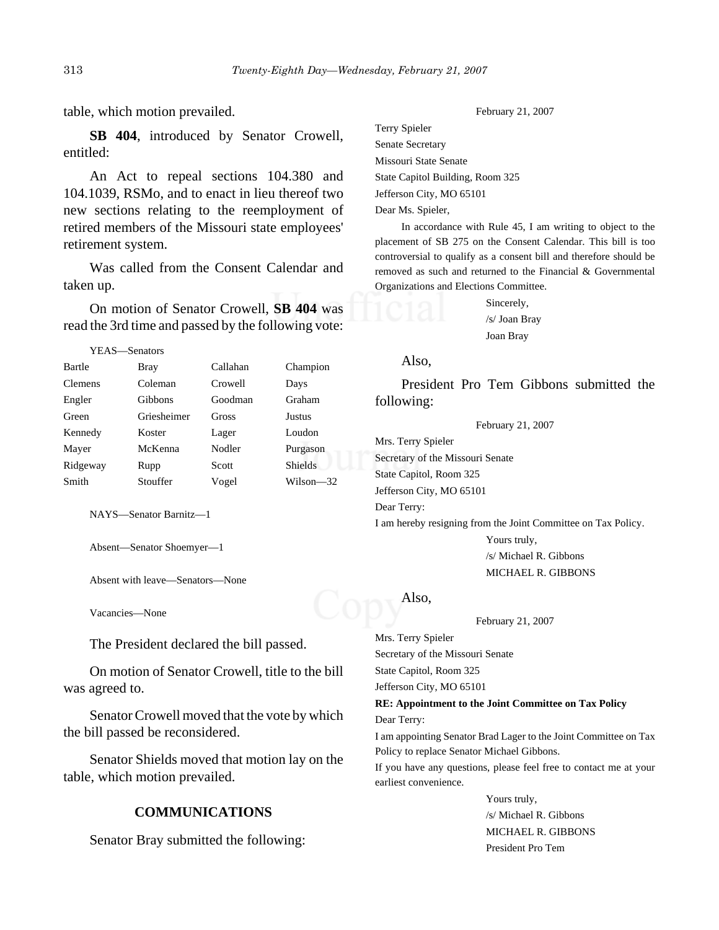#### table, which motion prevailed.

**SB 404**, introduced by Senator Crowell, entitled:

An Act to repeal sections 104.380 and 104.1039, RSMo, and to enact in lieu thereof two new sections relating to the reemployment of retired members of the Missouri state employees' retirement system.

Was called from the Consent Calendar and taken up.

On motion of Senator Crowell, **SB 404** was read the 3rd time and passed by the following vote:

#### YEAS—Senators

| Bartle         | <b>Bray</b>    | Callahan | Champion       |
|----------------|----------------|----------|----------------|
| <b>Clemens</b> | Coleman        | Crowell  | Days           |
| Engler         | <b>Gibbons</b> | Goodman  | Graham         |
| Green          | Griesheimer    | Gross    | <b>Justus</b>  |
| Kennedy        | Koster         | Lager    | Loudon         |
| Mayer          | McKenna        | Nodler   | Purgason       |
| Ridgeway       | Rupp           | Scott    | <b>Shields</b> |
| Smith          | Stouffer       | Vogel    | Wilson—32      |

NAYS—Senator Barnitz—1

Absent—Senator Shoemyer—1

Absent with leave—Senators—None

Vacancies—None

The President declared the bill passed.

On motion of Senator Crowell, title to the bill was agreed to.

Senator Crowell moved that the vote by which the bill passed be reconsidered.

Senator Shields moved that motion lay on the table, which motion prevailed.

### **COMMUNICATIONS**

Senator Bray submitted the following:

Terry Spieler Senate Secretary Missouri State Senate State Capitol Building, Room 325 Jefferson City, MO 65101 Dear Ms. Spieler,

In accordance with Rule 45, I am writing to object to the placement of SB 275 on the Consent Calendar. This bill is too controversial to qualify as a consent bill and therefore should be removed as such and returned to the Financial & Governmental Organizations and Elections Committee.

> Sincerely, /s/ Joan Bray Joan Bray

### Also,

President Pro Tem Gibbons submitted the following:

February 21, 2007

Mrs. Terry Spieler Secretary of the Missouri Senate State Capitol, Room 325 Jefferson City, MO 65101 Dear Terry: I am hereby resigning from the Joint Committee on Tax Policy. Yours truly,

/s/ Michael R. Gibbons MICHAEL R. GIBBONS

### Also,

February 21, 2007

Mrs. Terry Spieler Secretary of the Missouri Senate State Capitol, Room 325 Jefferson City, MO 65101

**RE: Appointment to the Joint Committee on Tax Policy** Dear Terry:

I am appointing Senator Brad Lager to the Joint Committee on Tax Policy to replace Senator Michael Gibbons.

If you have any questions, please feel free to contact me at your earliest convenience.

> Yours truly, /s/ Michael R. Gibbons MICHAEL R. GIBBONS President Pro Tem

February 21, 2007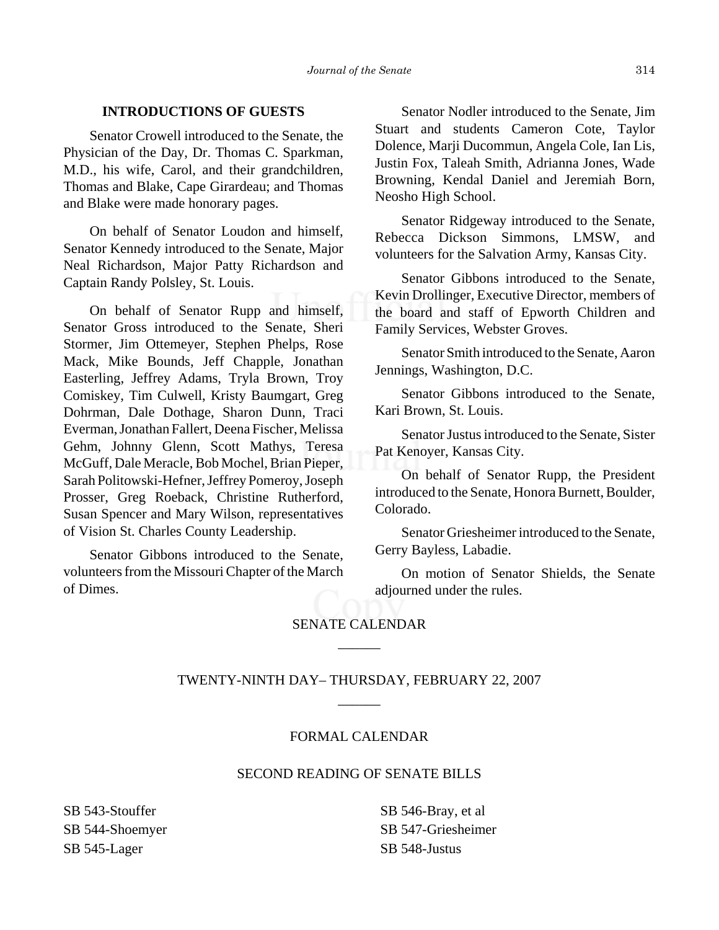### **INTRODUCTIONS OF GUESTS**

Senator Crowell introduced to the Senate, the Physician of the Day, Dr. Thomas C. Sparkman, M.D., his wife, Carol, and their grandchildren, Thomas and Blake, Cape Girardeau; and Thomas and Blake were made honorary pages.

On behalf of Senator Loudon and himself, Senator Kennedy introduced to the Senate, Major Neal Richardson, Major Patty Richardson and Captain Randy Polsley, St. Louis.

On behalf of Senator Rupp and himself, Senator Gross introduced to the Senate, Sheri Stormer, Jim Ottemeyer, Stephen Phelps, Rose Mack, Mike Bounds, Jeff Chapple, Jonathan Easterling, Jeffrey Adams, Tryla Brown, Troy Comiskey, Tim Culwell, Kristy Baumgart, Greg Dohrman, Dale Dothage, Sharon Dunn, Traci Everman, Jonathan Fallert, Deena Fischer, Melissa Gehm, Johnny Glenn, Scott Mathys, Teresa McGuff, Dale Meracle, Bob Mochel, Brian Pieper, Sarah Politowski-Hefner, Jeffrey Pomeroy, Joseph Prosser, Greg Roeback, Christine Rutherford, Susan Spencer and Mary Wilson, representatives of Vision St. Charles County Leadership.

Senator Gibbons introduced to the Senate, volunteers from the Missouri Chapter of the March of Dimes.

Senator Nodler introduced to the Senate, Jim Stuart and students Cameron Cote, Taylor Dolence, Marji Ducommun, Angela Cole, Ian Lis, Justin Fox, Taleah Smith, Adrianna Jones, Wade Browning, Kendal Daniel and Jeremiah Born, Neosho High School.

Senator Ridgeway introduced to the Senate, Rebecca Dickson Simmons, LMSW, and volunteers for the Salvation Army, Kansas City.

Senator Gibbons introduced to the Senate, Kevin Drollinger, Executive Director, members of the board and staff of Epworth Children and Family Services, Webster Groves.

Senator Smith introduced to the Senate, Aaron Jennings, Washington, D.C.

Senator Gibbons introduced to the Senate, Kari Brown, St. Louis.

Senator Justus introduced to the Senate, Sister Pat Kenoyer, Kansas City.

On behalf of Senator Rupp, the President introduced to the Senate, Honora Burnett, Boulder, Colorado.

Senator Griesheimer introduced to the Senate, Gerry Bayless, Labadie.

On motion of Senator Shields, the Senate adjourned under the rules.

# SENATE CALENDAR \_\_\_\_\_\_

# TWENTY-NINTH DAY– THURSDAY, FEBRUARY 22, 2007 \_\_\_\_\_\_

### FORMAL CALENDAR

### SECOND READING OF SENATE BILLS

SB 543-Stouffer SB 544-Shoemyer SB 545-Lager

SB 546-Bray, et al SB 547-Griesheimer SB 548-Justus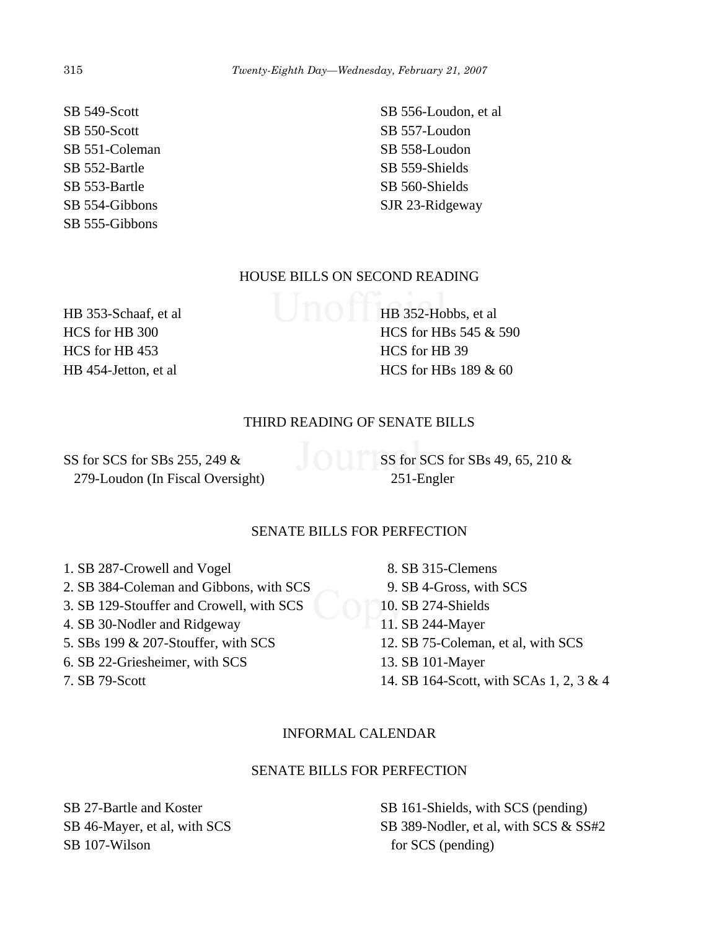SB 549-Scott SB 550-Scott SB 551-Coleman SB 552-Bartle SB 553-Bartle SB 554-Gibbons SB 555-Gibbons

SB 556-Loudon, et al SB 557-Loudon SB 558-Loudon SB 559-Shields SB 560-Shields

# HOUSE BILLS ON SECOND READING

HB 353-Schaaf, et al HCS for HB 300 HCS for HB 453 HB 454-Jetton, et al

HB 352-Hobbs, et al HCS for HBs 545 & 590 HCS for HB 39 HCS for HBs 189 & 60

# THIRD READING OF SENATE BILLS

SS for SCS for SBs 255, 249 & 279-Loudon (In Fiscal Oversight) SS for SCS for SBs 49, 65, 210 & 251-Engler

# SENATE BILLS FOR PERFECTION

- 1. SB 287-Crowell and Vogel
- 2. SB 384-Coleman and Gibbons, with SCS
- 3. SB 129-Stouffer and Crowell, with SCS
- 4. SB 30-Nodler and Ridgeway
- 5. SBs 199 & 207-Stouffer, with SCS
- 6. SB 22-Griesheimer, with SCS

7. SB 79-Scott

 8. SB 315-Clemens 9. SB 4-Gross, with SCS 10. SB 274-Shields 11. SB 244-Mayer 12. SB 75-Coleman, et al, with SCS 13. SB 101-Mayer 14. SB 164-Scott, with SCAs 1, 2, 3 & 4

# INFORMAL CALENDAR

# SENATE BILLS FOR PERFECTION

SB 27-Bartle and Koster SB 46-Mayer, et al, with SCS SB 107-Wilson

SB 161-Shields, with SCS (pending) SB 389-Nodler, et al, with SCS & SS#2 for SCS (pending)

SJR 23-Ridgeway